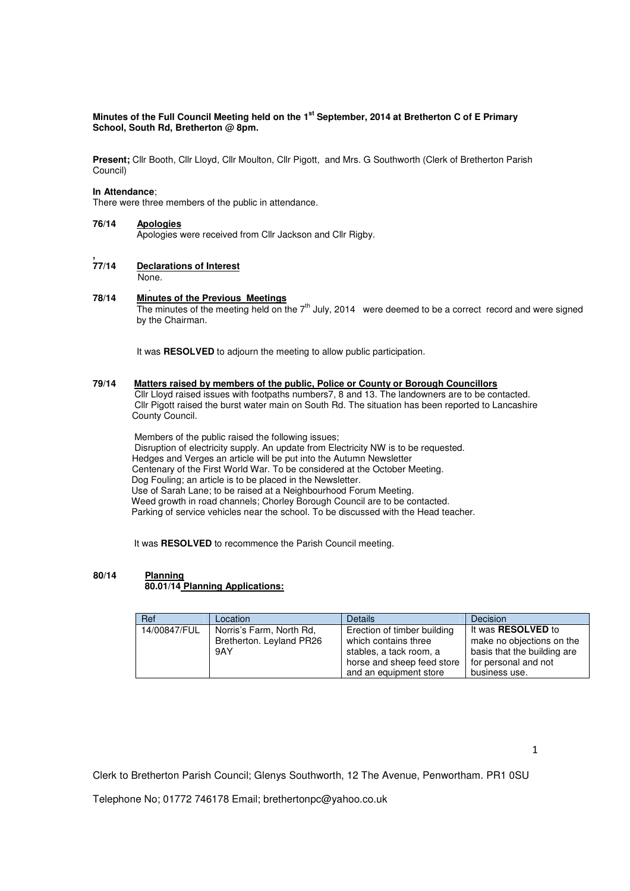## **Minutes of the Full Council Meeting held on the 1st September, 2014 at Bretherton C of E Primary School, South Rd, Bretherton @ 8pm.**

**Present;** Cllr Booth, Cllr Lloyd, Cllr Moulton, Cllr Pigott, and Mrs. G Southworth (Clerk of Bretherton Parish Council)

### **In Attendance**;

There were three members of the public in attendance.

### **76/14 Apologies**

Apologies were received from Cllr Jackson and Cllr Rigby.

#### **, Declarations of Interest**

 None. .

### **78/14 Minutes of the Previous Meetings**

The minutes of the meeting held on the 7<sup>th</sup> July, 2014 were deemed to be a correct record and were signed by the Chairman.

It was **RESOLVED** to adjourn the meeting to allow public participation.

## **79/14 Matters raised by members of the public, Police or County or Borough Councillors**

 Cllr Lloyd raised issues with footpaths numbers7, 8 and 13. The landowners are to be contacted. Cllr Pigott raised the burst water main on South Rd. The situation has been reported to Lancashire County Council.

 Members of the public raised the following issues; Disruption of electricity supply. An update from Electricity NW is to be requested. Hedges and Verges an article will be put into the Autumn Newsletter Centenary of the First World War. To be considered at the October Meeting. Dog Fouling; an article is to be placed in the Newsletter. Use of Sarah Lane; to be raised at a Neighbourhood Forum Meeting. Weed growth in road channels; Chorley Borough Council are to be contacted. Parking of service vehicles near the school. To be discussed with the Head teacher.

It was **RESOLVED** to recommence the Parish Council meeting.

## **80/14 Planning**

# **80.01/14 Planning Applications:**

| Ref          | Location                 | <b>Details</b>              | Decision                    |
|--------------|--------------------------|-----------------------------|-----------------------------|
| 14/00847/FUL | Norris's Farm, North Rd. | Erection of timber building | It was <b>RESOLVED</b> to   |
|              | Bretherton. Leyland PR26 | which contains three        | make no objections on the   |
|              | 9AY                      | stables, a tack room, a     | basis that the building are |
|              |                          | horse and sheep feed store  | for personal and not        |
|              |                          | and an equipment store      | business use.               |

1

Clerk to Bretherton Parish Council; Glenys Southworth, 12 The Avenue, Penwortham. PR1 0SU

Telephone No; 01772 746178 Email; brethertonpc@yahoo.co.uk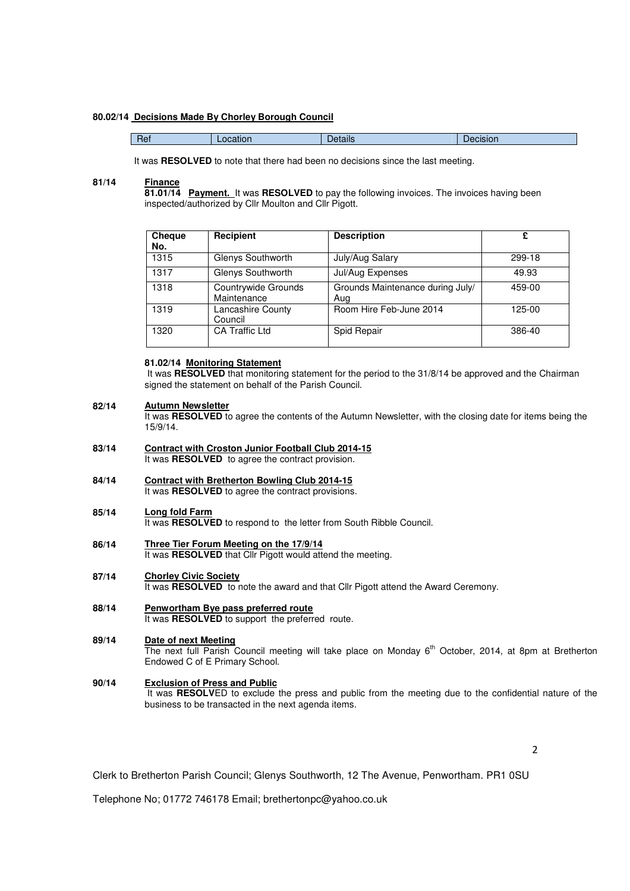### **80.02/14 Decisions Made By Chorley Borough Council**

| Het<br>etails<br><b>SION</b><br>$-$ |
|-------------------------------------|
|-------------------------------------|

It was **RESOLVED** to note that there had been no decisions since the last meeting.

#### **81/14 Finance**

**81.01/14 Payment.** It was **RESOLVED** to pay the following invoices. The invoices having been inspected/authorized by Cllr Moulton and Cllr Pigott.

| Cheque<br>No. | Recipient                          | <b>Description</b>                      | £      |
|---------------|------------------------------------|-----------------------------------------|--------|
| 1315          | Glenys Southworth                  | July/Aug Salary                         | 299-18 |
| 1317          | Glenys Southworth                  | Jul/Aug Expenses                        | 49.93  |
| 1318          | Countrywide Grounds<br>Maintenance | Grounds Maintenance during July/<br>Aug | 459-00 |
| 1319          | Lancashire County<br>Council       | Room Hire Feb-June 2014                 | 125-00 |
| 1320          | <b>CA Traffic Ltd</b>              | Spid Repair                             | 386-40 |

## **81.02/14 Monitoring Statement**

It was **RESOLVED** that monitoring statement for the period to the 31/8/14 be approved and the Chairman signed the statement on behalf of the Parish Council.

#### **82/14 Autumn Newsletter**

It was **RESOLVED** to agree the contents of the Autumn Newsletter, with the closing date for items being the 15/9/14.

- **83/14 Contract with Croston Junior Football Club 2014-15** It was **RESOLVED** to agree the contract provision.
- **84/14 Contract with Bretherton Bowling Club 2014-15** It was **RESOLVED** to agree the contract provisions.

#### **85/14 Long fold Farm**

It was **RESOLVED** to respond to the letter from South Ribble Council.

#### **86/14 Three Tier Forum Meeting on the 17/9/14**

It was **RESOLVED** that Cllr Pigott would attend the meeting.

- **87/14 Chorley Civic Society** It was **RESOLVED** to note the award and that Cllr Pigott attend the Award Ceremony.
- **88/14 Penwortham Bye pass preferred route** It was **RESOLVED** to support the preferred route.

#### **89/14 Date of next Meeting**

The next full Parish Council meeting will take place on Monday 6<sup>th</sup> October, 2014, at 8pm at Bretherton Endowed C of E Primary School.

### **90/14 Exclusion of Press and Public**

It was RESOLVED to exclude the press and public from the meeting due to the confidential nature of the business to be transacted in the next agenda items.

 $\overline{\mathbf{z}}$ 

Clerk to Bretherton Parish Council; Glenys Southworth, 12 The Avenue, Penwortham. PR1 0SU

Telephone No; 01772 746178 Email; brethertonpc@yahoo.co.uk